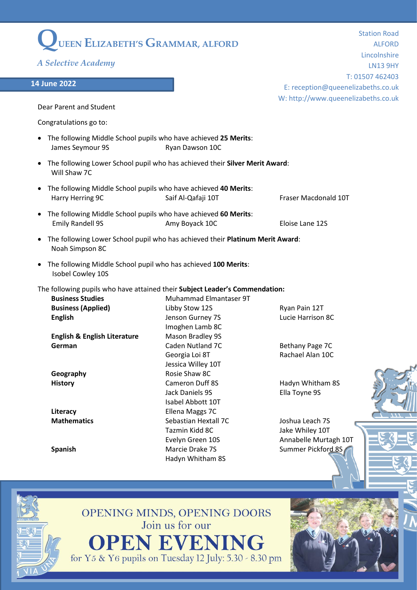|                                                                                            |                                                                               | <b>Station Road</b>                 |
|--------------------------------------------------------------------------------------------|-------------------------------------------------------------------------------|-------------------------------------|
| UEEN ELIZABETH'S GRAMMAR, ALFORD                                                           |                                                                               | <b>ALFORD</b>                       |
|                                                                                            |                                                                               | Lincolnshire                        |
| A Selective Academy                                                                        |                                                                               | <b>LN13 9HY</b>                     |
|                                                                                            |                                                                               | T: 01507 462403                     |
| 14 June 2022                                                                               |                                                                               | E: reception@queenelizabeths.co.uk  |
|                                                                                            |                                                                               | W: http://www.queenelizabeths.co.uk |
| Dear Parent and Student                                                                    |                                                                               |                                     |
|                                                                                            |                                                                               |                                     |
| Congratulations go to:                                                                     |                                                                               |                                     |
| The following Middle School pupils who have achieved 25 Merits:<br>James Seymour 9S        | Ryan Dawson 10C                                                               |                                     |
| Will Shaw 7C                                                                               | The following Lower School pupil who has achieved their Silver Merit Award:   |                                     |
| The following Middle School pupils who have achieved 40 Merits:<br>Harry Herring 9C        | Saif Al-Qafaji 10T                                                            | Fraser Macdonald 10T                |
| The following Middle School pupils who have achieved 60 Merits:<br><b>Emily Randell 9S</b> | Amy Boyack 10C                                                                | Eloise Lane 12S                     |
| Noah Simpson 8C                                                                            | The following Lower School pupil who has achieved their Platinum Merit Award: |                                     |
| The following Middle School pupil who has achieved 100 Merits:<br>Isobel Cowley 10S        |                                                                               |                                     |
| The following pupils who have attained their Subject Leader's Commendation:                |                                                                               |                                     |
| <b>Business Studies</b>                                                                    | Muhammad Elmantaser 9T                                                        |                                     |
| <b>Business (Applied)</b>                                                                  | Libby Stow 12S                                                                | Ryan Pain 12T                       |
| <b>English</b>                                                                             | Jenson Gurney 7S                                                              | Lucie Harrison 8C                   |
|                                                                                            | Imoghen Lamb 8C                                                               |                                     |
| <b>English &amp; English Literature</b>                                                    | Mason Bradley 9S                                                              |                                     |
| German                                                                                     | Caden Nutland 7C                                                              | Bethany Page 7C                     |
|                                                                                            | Georgia Loi 8T                                                                | Rachael Alan 10C                    |
|                                                                                            | Jessica Willey 10T                                                            |                                     |
| Geography                                                                                  | Rosie Shaw 8C                                                                 |                                     |
| <b>History</b>                                                                             | <b>Cameron Duff 8S</b>                                                        | Hadyn Whitham 8S                    |
|                                                                                            | Jack Daniels 9S                                                               | Ella Toyne 9S                       |
|                                                                                            | Isabel Abbott 10T                                                             |                                     |
| Literacy                                                                                   | Ellena Maggs 7C                                                               |                                     |
| <b>Mathematics</b>                                                                         | Sebastian Hextall 7C                                                          | Joshua Leach 7S                     |
|                                                                                            | Tazmin Kidd 8C                                                                | Jake Whiley 10T                     |
|                                                                                            | Evelyn Green 10S                                                              | Annabelle Murtagh 10T               |
| <b>Spanish</b>                                                                             | Marcie Drake 7S<br>Hadyn Whitham 8S                                           | Summer Pickford 8S                  |
|                                                                                            |                                                                               |                                     |
|                                                                                            |                                                                               |                                     |



OPENING MINDS, OPENING DOORS<br>Join us for our

**OPEN EVENING**<br>for Y5 & Y6 pupils on Tuesday 12 July: 5.30 - 8.30 pm